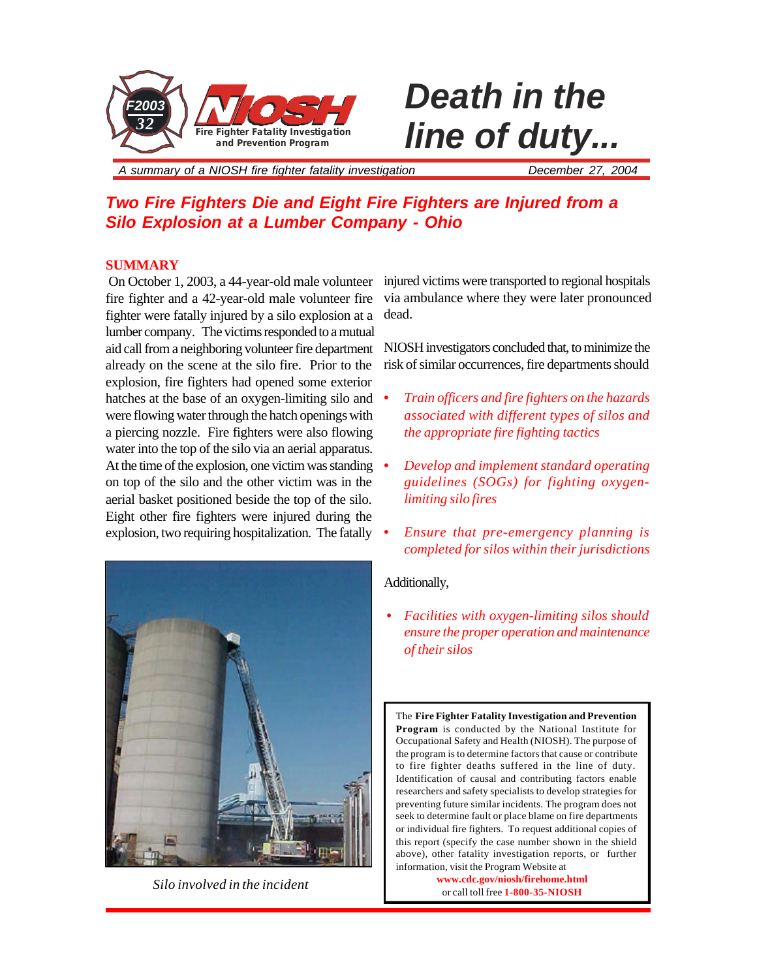

# **Death in the** *line of duty...*

*A summary of a NIOSH fire fighter fatality investigation December 27, 2004*

# *Two Fire Fighters Die and Eight Fire Fighters are Injured from a Silo Explosion at a Lumber Company - Ohio*

# **SUMMARY**

 On October 1, 2003, a 44-year-old male volunteer injured victims were transported to regional hospitals fire fighter and a 42-year-old male volunteer fire fighter were fatally injured by a silo explosion at a lumber company. The victims responded to a mutual aid call from a neighboring volunteer fire department already on the scene at the silo fire. Prior to the explosion, fire fighters had opened some exterior hatches at the base of an oxygen-limiting silo and were flowing water through the hatch openings with a piercing nozzle. Fire fighters were also flowing water into the top of the silo via an aerial apparatus. At the time of the explosion, one victim was standing on top of the silo and the other victim was in the aerial basket positioned beside the top of the silo. Eight other fire fighters were injured during the explosion, two requiring hospitalization. The fatally



*Silo involved in the incident*

via ambulance where they were later pronounced dead.

NIOSH investigators concluded that, to minimize the risk of similar occurrences, fire departments should

- *• Train officers and fire fighters on the hazards associated with different types of silos and the appropriate fire fighting tactics*
- *• Develop and implement standard operating guidelines (SOGs) for fighting oxygenlimiting silo fires*
- *• Ensure that pre-emergency planning is completed for silos within their jurisdictions*

### Additionally,

*• Facilities with oxygen-limiting silos should ensure the proper operation and maintenance of their silos*

The **Fire Fighter Fatality Investigation and Prevention Program** is conducted by the National Institute for Occupational Safety and Health (NIOSH). The purpose of the program is to determine factors that cause or contribute to fire fighter deaths suffered in the line of duty. Identification of causal and contributing factors enable researchers and safety specialists to develop strategies for preventing future similar incidents. The program does not seek to determine fault or place blame on fire departments or individual fire fighters. To request additional copies of this report (specify the case number shown in the shield above), other fatality investigation reports, or further information, visit the Program Website at

> **www.cdc.gov/niosh/firehome.html** or call toll free **1-800-35-NIOSH**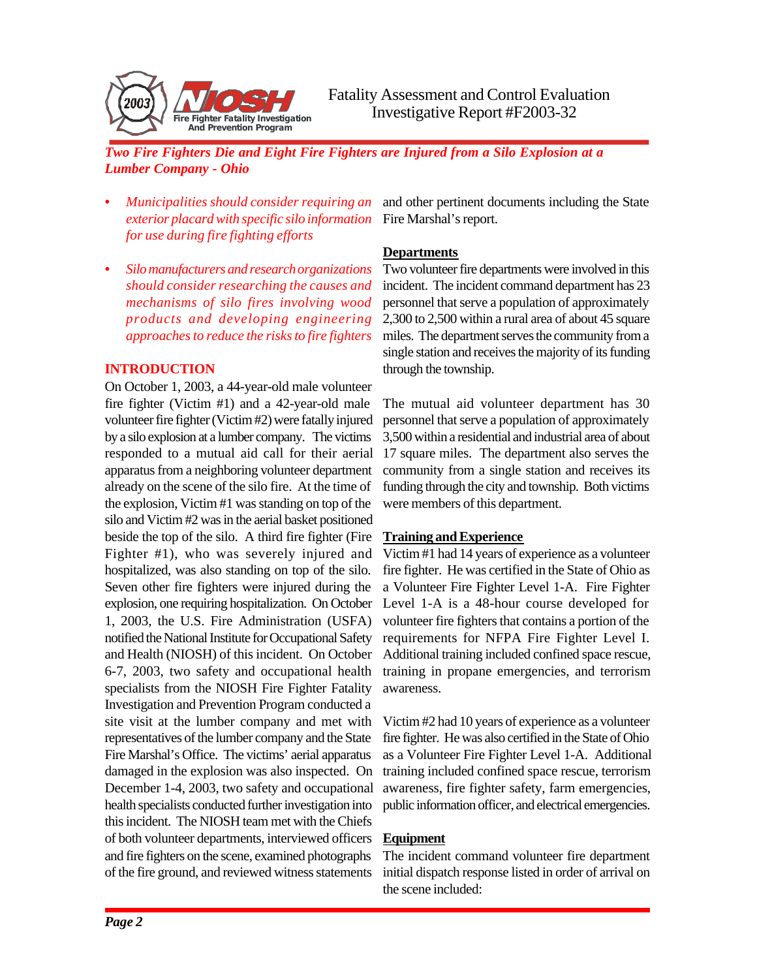

- *• Municipalities should consider requiring an exterior placard with specific silo information for use during fire fighting efforts*
- *• Silo manufacturers and research organizations should consider researching the causes and mechanisms of silo fires involving wood products and developing engineering approaches to reduce the risks to fire fighters*

### **INTRODUCTION**

On October 1, 2003, a 44-year-old male volunteer fire fighter (Victim #1) and a 42-year-old male volunteer fire fighter (Victim #2) were fatally injured by a silo explosion at a lumber company. The victims responded to a mutual aid call for their aerial apparatus from a neighboring volunteer department already on the scene of the silo fire. At the time of the explosion, Victim #1 was standing on top of the silo and Victim #2 was in the aerial basket positioned beside the top of the silo. A third fire fighter (Fire Fighter #1), who was severely injured and hospitalized, was also standing on top of the silo. Seven other fire fighters were injured during the explosion, one requiring hospitalization. On October 1, 2003, the U.S. Fire Administration (USFA) notified the National Institute for Occupational Safety and Health (NIOSH) of this incident. On October 6-7, 2003, two safety and occupational health specialists from the NIOSH Fire Fighter Fatality Investigation and Prevention Program conducted a site visit at the lumber company and met with representatives of the lumber company and the State Fire Marshal's Office. The victims' aerial apparatus damaged in the explosion was also inspected. On December 1-4, 2003, two safety and occupational health specialists conducted further investigation into this incident. The NIOSH team met with the Chiefs of both volunteer departments, interviewed officers and fire fighters on the scene, examined photographs of the fire ground, and reviewed witness statements

and other pertinent documents including the State Fire Marshal's report.

# **Departments**

Two volunteer fire departments were involved in this incident. The incident command department has 23 personnel that serve a population of approximately 2,300 to 2,500 within a rural area of about 45 square miles. The department serves the community from a single station and receives the majority of its funding through the township.

The mutual aid volunteer department has 30 personnel that serve a population of approximately 3,500 within a residential and industrial area of about 17 square miles. The department also serves the community from a single station and receives its funding through the city and township. Both victims were members of this department.

# **Training and Experience**

Victim #1 had 14 years of experience as a volunteer fire fighter. He was certified in the State of Ohio as a Volunteer Fire Fighter Level 1-A. Fire Fighter Level 1-A is a 48-hour course developed for volunteer fire fighters that contains a portion of the requirements for NFPA Fire Fighter Level I. Additional training included confined space rescue, training in propane emergencies, and terrorism awareness.

Victim #2 had 10 years of experience as a volunteer fire fighter. He was also certified in the State of Ohio as a Volunteer Fire Fighter Level 1-A. Additional training included confined space rescue, terrorism awareness, fire fighter safety, farm emergencies, public information officer, and electrical emergencies.

# **Equipment**

The incident command volunteer fire department initial dispatch response listed in order of arrival on the scene included: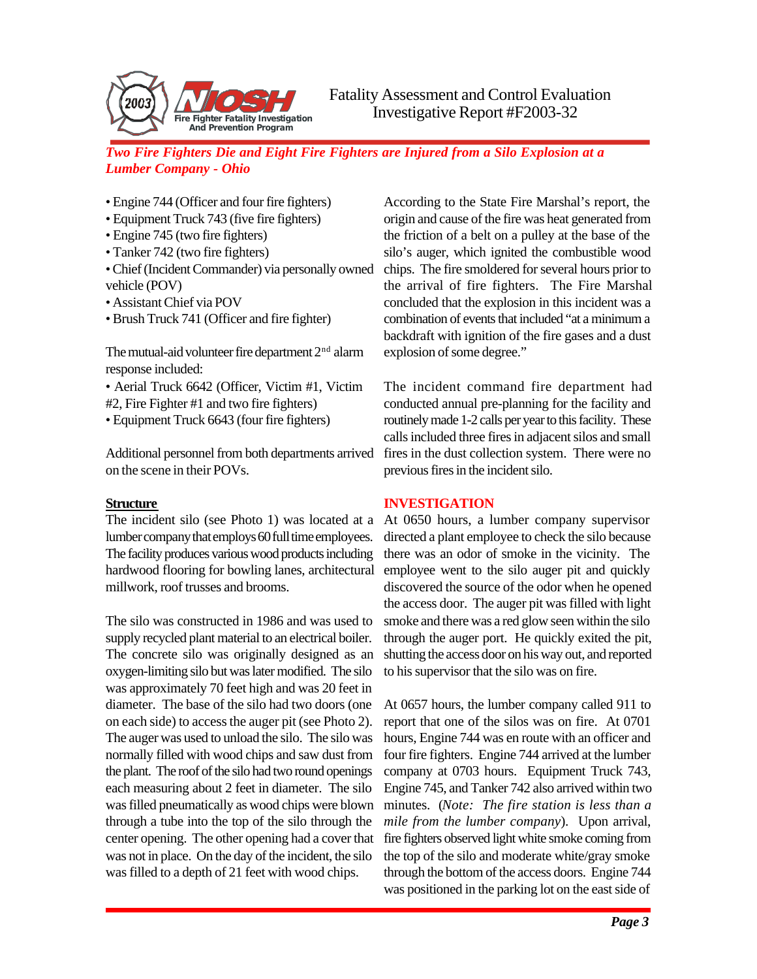

- Engine 744 (Officer and four fire fighters)
- Equipment Truck 743 (five fire fighters)
- Engine 745 (two fire fighters)
- Tanker 742 (two fire fighters)
- Chief (Incident Commander) via personally owned vehicle (POV)
- Assistant Chief via POV
- Brush Truck 741 (Officer and fire fighter)

The mutual-aid volunteer fire department  $2<sup>nd</sup>$  alarm response included:

- Aerial Truck 6642 (Officer, Victim #1, Victim
- #2, Fire Fighter #1 and two fire fighters)
- Equipment Truck 6643 (four fire fighters)

Additional personnel from both departments arrived on the scene in their POVs.

### **Structure**

The incident silo (see Photo 1) was located at a lumber company that employs 60 full time employees. The facility produces various wood products including hardwood flooring for bowling lanes, architectural millwork, roof trusses and brooms.

The silo was constructed in 1986 and was used to supply recycled plant material to an electrical boiler. The concrete silo was originally designed as an oxygen-limiting silo but was later modified. The silo was approximately 70 feet high and was 20 feet in diameter. The base of the silo had two doors (one on each side) to access the auger pit (see Photo 2). The auger was used to unload the silo. The silo was normally filled with wood chips and saw dust from the plant. The roof of the silo had two round openings each measuring about 2 feet in diameter. The silo was filled pneumatically as wood chips were blown through a tube into the top of the silo through the center opening. The other opening had a cover that was not in place. On the day of the incident, the silo was filled to a depth of 21 feet with wood chips.

According to the State Fire Marshal's report, the origin and cause of the fire was heat generated from the friction of a belt on a pulley at the base of the silo's auger, which ignited the combustible wood chips. The fire smoldered for several hours prior to the arrival of fire fighters. The Fire Marshal concluded that the explosion in this incident was a combination of events that included "at a minimum a backdraft with ignition of the fire gases and a dust explosion of some degree."

The incident command fire department had conducted annual pre-planning for the facility and routinely made 1-2 calls per year to this facility. These calls included three fires in adjacent silos and small fires in the dust collection system. There were no previous fires in the incident silo.

# **INVESTIGATION**

At 0650 hours, a lumber company supervisor directed a plant employee to check the silo because there was an odor of smoke in the vicinity. The employee went to the silo auger pit and quickly discovered the source of the odor when he opened the access door. The auger pit was filled with light smoke and there was a red glow seen within the silo through the auger port. He quickly exited the pit, shutting the access door on his way out, and reported to his supervisor that the silo was on fire.

At 0657 hours, the lumber company called 911 to report that one of the silos was on fire. At 0701 hours, Engine 744 was en route with an officer and four fire fighters. Engine 744 arrived at the lumber company at 0703 hours. Equipment Truck 743, Engine 745, and Tanker 742 also arrived within two minutes. (*Note: The fire station is less than a mile from the lumber company*). Upon arrival, fire fighters observed light white smoke coming from the top of the silo and moderate white/gray smoke through the bottom of the access doors. Engine 744 was positioned in the parking lot on the east side of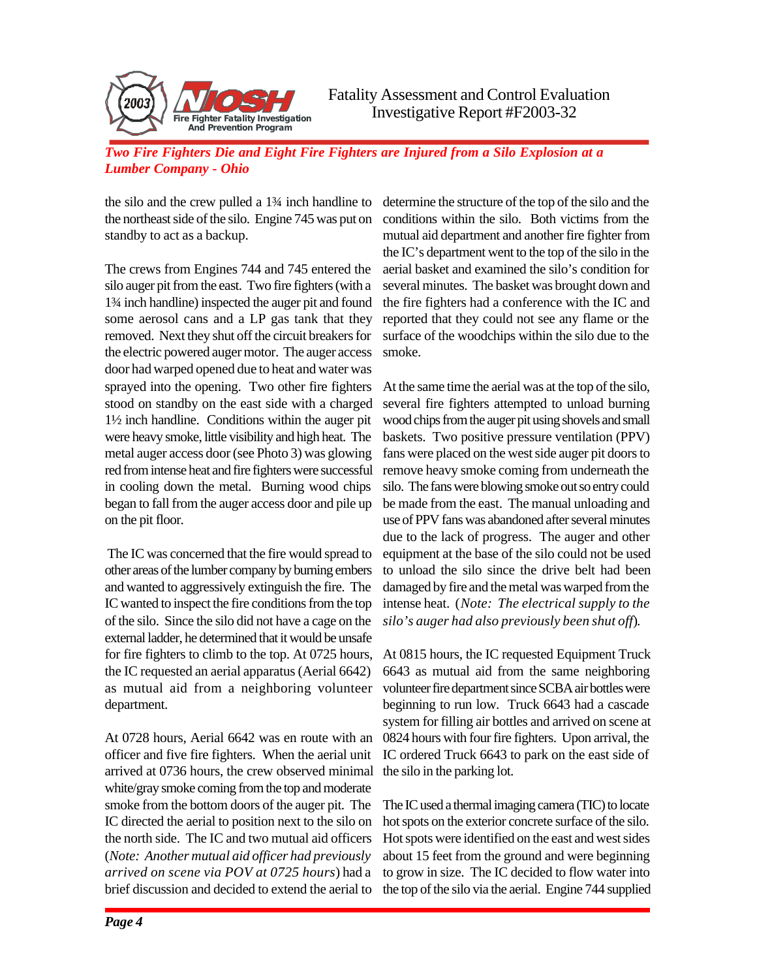

the silo and the crew pulled a 1¾ inch handline to the northeast side of the silo. Engine 745 was put on standby to act as a backup.

The crews from Engines 744 and 745 entered the silo auger pit from the east. Two fire fighters (with a 1¾ inch handline) inspected the auger pit and found some aerosol cans and a LP gas tank that they removed. Next they shut off the circuit breakers for the electric powered auger motor. The auger access door had warped opened due to heat and water was sprayed into the opening. Two other fire fighters stood on standby on the east side with a charged 1½ inch handline. Conditions within the auger pit were heavy smoke, little visibility and high heat. The metal auger access door (see Photo 3) was glowing red from intense heat and fire fighters were successful in cooling down the metal. Burning wood chips began to fall from the auger access door and pile up on the pit floor.

 The IC was concerned that the fire would spread to other areas of the lumber company by burning embers and wanted to aggressively extinguish the fire. The IC wanted to inspect the fire conditions from the top of the silo. Since the silo did not have a cage on the external ladder, he determined that it would be unsafe for fire fighters to climb to the top. At 0725 hours, the IC requested an aerial apparatus (Aerial 6642) as mutual aid from a neighboring volunteer department.

At 0728 hours, Aerial 6642 was en route with an officer and five fire fighters. When the aerial unit arrived at 0736 hours, the crew observed minimal white/gray smoke coming from the top and moderate smoke from the bottom doors of the auger pit. The IC directed the aerial to position next to the silo on the north side. The IC and two mutual aid officers (*Note: Another mutual aid officer had previously arrived on scene via POV at 0725 hours*) had a brief discussion and decided to extend the aerial to

determine the structure of the top of the silo and the conditions within the silo. Both victims from the mutual aid department and another fire fighter from the IC's department went to the top of the silo in the aerial basket and examined the silo's condition for several minutes. The basket was brought down and the fire fighters had a conference with the IC and reported that they could not see any flame or the surface of the woodchips within the silo due to the smoke.

At the same time the aerial was at the top of the silo, several fire fighters attempted to unload burning wood chips from the auger pit using shovels and small baskets. Two positive pressure ventilation (PPV) fans were placed on the west side auger pit doors to remove heavy smoke coming from underneath the silo. The fans were blowing smoke out so entry could be made from the east. The manual unloading and use of PPV fans was abandoned after several minutes due to the lack of progress. The auger and other equipment at the base of the silo could not be used to unload the silo since the drive belt had been damaged by fire and the metal was warped from the intense heat. (*Note: The electrical supply to the silo's auger had also previously been shut off*).

At 0815 hours, the IC requested Equipment Truck 6643 as mutual aid from the same neighboring volunteer fire department since SCBA air bottles were beginning to run low. Truck 6643 had a cascade system for filling air bottles and arrived on scene at 0824 hours with four fire fighters. Upon arrival, the IC ordered Truck 6643 to park on the east side of the silo in the parking lot.

The IC used a thermal imaging camera (TIC) to locate hot spots on the exterior concrete surface of the silo. Hot spots were identified on the east and west sides about 15 feet from the ground and were beginning to grow in size. The IC decided to flow water into the top of the silo via the aerial. Engine 744 supplied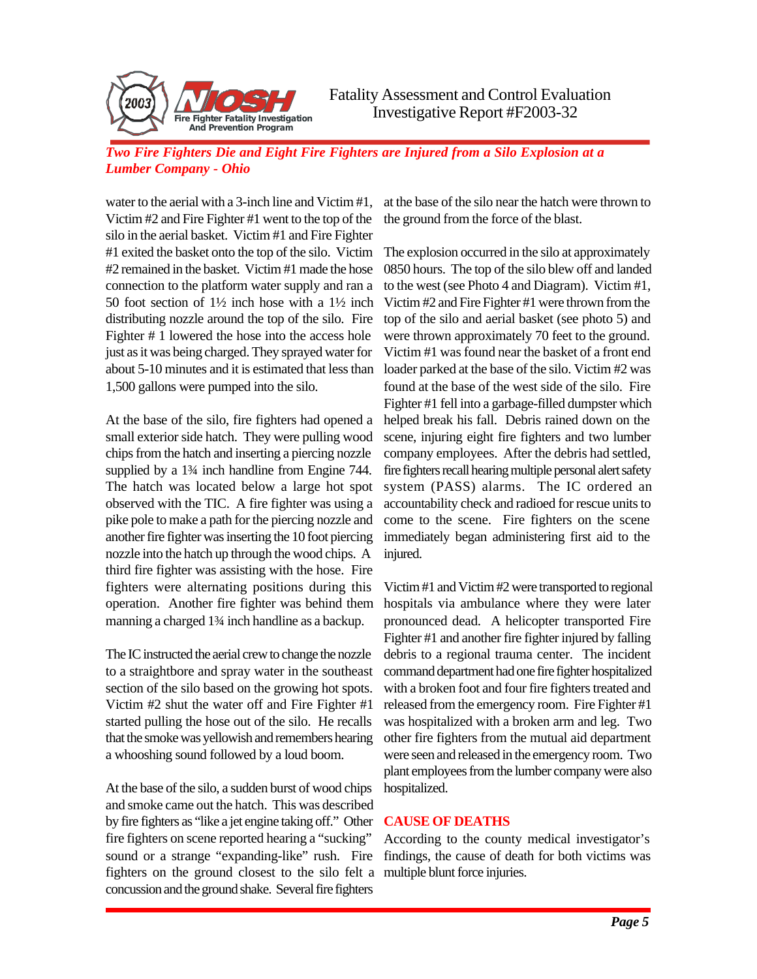

water to the aerial with a 3-inch line and Victim #1, Victim #2 and Fire Fighter #1 went to the top of the silo in the aerial basket. Victim #1 and Fire Fighter #1 exited the basket onto the top of the silo. Victim #2 remained in the basket. Victim #1 made the hose connection to the platform water supply and ran a 50 foot section of 1½ inch hose with a 1½ inch distributing nozzle around the top of the silo. Fire Fighter # 1 lowered the hose into the access hole just as it was being charged. They sprayed water for about 5-10 minutes and it is estimated that less than 1,500 gallons were pumped into the silo.

At the base of the silo, fire fighters had opened a small exterior side hatch. They were pulling wood chips from the hatch and inserting a piercing nozzle supplied by a  $1\frac{3}{4}$  inch handline from Engine 744. The hatch was located below a large hot spot observed with the TIC. A fire fighter was using a pike pole to make a path for the piercing nozzle and another fire fighter was inserting the 10 foot piercing nozzle into the hatch up through the wood chips. A third fire fighter was assisting with the hose. Fire fighters were alternating positions during this operation. Another fire fighter was behind them manning a charged 1¾ inch handline as a backup.

The IC instructed the aerial crew to change the nozzle to a straightbore and spray water in the southeast section of the silo based on the growing hot spots. Victim #2 shut the water off and Fire Fighter #1 started pulling the hose out of the silo. He recalls that the smoke was yellowish and remembers hearing a whooshing sound followed by a loud boom.

At the base of the silo, a sudden burst of wood chips and smoke came out the hatch. This was described by fire fighters as "like a jet engine taking off." Other fire fighters on scene reported hearing a "sucking" sound or a strange "expanding-like" rush. Fire fighters on the ground closest to the silo felt a multiple blunt force injuries.concussion and the ground shake. Several fire fighters

at the base of the silo near the hatch were thrown to the ground from the force of the blast.

The explosion occurred in the silo at approximately 0850 hours. The top of the silo blew off and landed to the west (see Photo 4 and Diagram). Victim #1, Victim #2 and Fire Fighter #1 were thrown from the top of the silo and aerial basket (see photo 5) and were thrown approximately 70 feet to the ground. Victim #1 was found near the basket of a front end loader parked at the base of the silo. Victim #2 was found at the base of the west side of the silo. Fire Fighter #1 fell into a garbage-filled dumpster which helped break his fall. Debris rained down on the scene, injuring eight fire fighters and two lumber company employees. After the debris had settled, fire fighters recall hearing multiple personal alert safety system (PASS) alarms. The IC ordered an accountability check and radioed for rescue units to come to the scene. Fire fighters on the scene immediately began administering first aid to the injured.

Victim #1 and Victim #2 were transported to regional hospitals via ambulance where they were later pronounced dead. A helicopter transported Fire Fighter #1 and another fire fighter injured by falling debris to a regional trauma center. The incident command department had one fire fighter hospitalized with a broken foot and four fire fighters treated and released from the emergency room. Fire Fighter #1 was hospitalized with a broken arm and leg. Two other fire fighters from the mutual aid department were seen and released in the emergency room. Two plant employees from the lumber company were also hospitalized.

# **CAUSE OF DEATHS**

According to the county medical investigator's findings, the cause of death for both victims was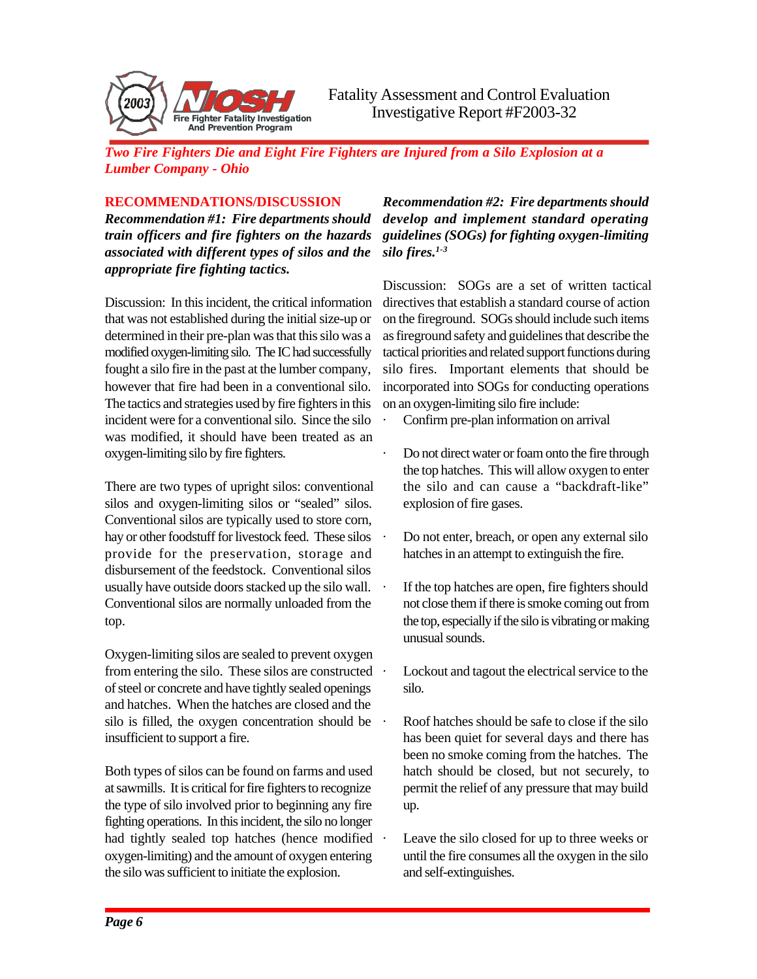

## **RECOMMENDATIONS/DISCUSSION**

*Recommendation #1: Fire departments should train officers and fire fighters on the hazards associated with different types of silos and the appropriate fire fighting tactics.*

Discussion: In this incident, the critical information that was not established during the initial size-up or determined in their pre-plan was that this silo was a modified oxygen-limiting silo. The IC had successfully fought a silo fire in the past at the lumber company, however that fire had been in a conventional silo. The tactics and strategies used by fire fighters in this incident were for a conventional silo. Since the silo was modified, it should have been treated as an oxygen-limiting silo by fire fighters.

There are two types of upright silos: conventional silos and oxygen-limiting silos or "sealed" silos. Conventional silos are typically used to store corn, hay or other foodstuff for livestock feed. These silos provide for the preservation, storage and disbursement of the feedstock. Conventional silos usually have outside doors stacked up the silo wall. Conventional silos are normally unloaded from the top.

Oxygen-limiting silos are sealed to prevent oxygen from entering the silo. These silos are constructed of steel or concrete and have tightly sealed openings and hatches. When the hatches are closed and the silo is filled, the oxygen concentration should be insufficient to support a fire.

Both types of silos can be found on farms and used at sawmills. It is critical for fire fighters to recognize the type of silo involved prior to beginning any fire fighting operations. In this incident, the silo no longer had tightly sealed top hatches (hence modified  $\cdot$ oxygen-limiting) and the amount of oxygen entering the silo was sufficient to initiate the explosion.

*Recommendation #2: Fire departments should develop and implement standard operating guidelines (SOGs) for fighting oxygen-limiting silo fires.1-3*

Discussion: SOGs are a set of written tactical directives that establish a standard course of action on the fireground. SOGs should include such items as fireground safety and guidelines that describe the tactical priorities and related support functions during silo fires. Important elements that should be incorporated into SOGs for conducting operations on an oxygen-limiting silo fire include:

- Confirm pre-plan information on arrival
- · Do not direct water or foam onto the fire through the top hatches. This will allow oxygen to enter the silo and can cause a "backdraft-like" explosion of fire gases.
- Do not enter, breach, or open any external silo hatches in an attempt to extinguish the fire.
- If the top hatches are open, fire fighters should not close them if there is smoke coming out from the top, especially if the silo is vibrating or making unusual sounds.
- Lockout and tagout the electrical service to the silo.
- Roof hatches should be safe to close if the silo has been quiet for several days and there has been no smoke coming from the hatches. The hatch should be closed, but not securely, to permit the relief of any pressure that may build up.
- Leave the silo closed for up to three weeks or until the fire consumes all the oxygen in the silo and self-extinguishes.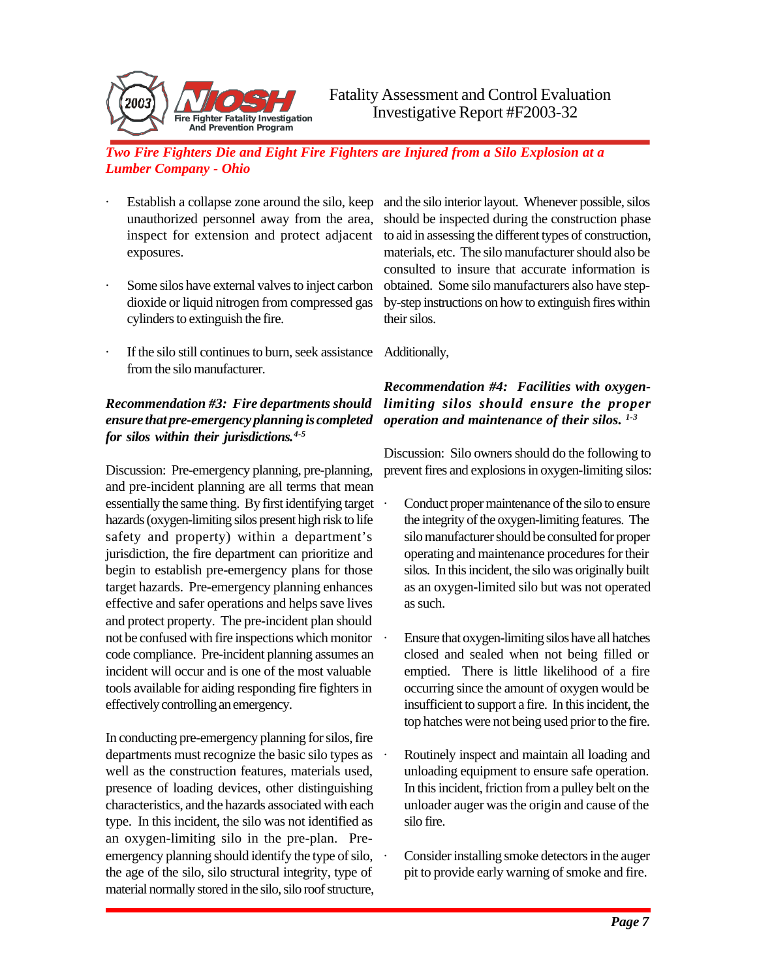

- Establish a collapse zone around the silo, keep unauthorized personnel away from the area, inspect for extension and protect adjacent exposures.
- Some silos have external valves to inject carbon dioxide or liquid nitrogen from compressed gas cylinders to extinguish the fire.
- · If the silo still continues to burn, seek assistance Additionally, from the silo manufacturer.

# *Recommendation #3: Fire departments should ensure that pre-emergency planning is completed for silos within their jurisdictions.4-5*

Discussion: Pre-emergency planning, pre-planning, and pre-incident planning are all terms that mean essentially the same thing. By first identifying target hazards (oxygen-limiting silos present high risk to life safety and property) within a department's jurisdiction, the fire department can prioritize and begin to establish pre-emergency plans for those target hazards. Pre-emergency planning enhances effective and safer operations and helps save lives and protect property. The pre-incident plan should not be confused with fire inspections which monitor code compliance. Pre-incident planning assumes an incident will occur and is one of the most valuable tools available for aiding responding fire fighters in effectively controlling an emergency.

In conducting pre-emergency planning for silos, fire departments must recognize the basic silo types as well as the construction features, materials used, presence of loading devices, other distinguishing characteristics, and the hazards associated with each type. In this incident, the silo was not identified as an oxygen-limiting silo in the pre-plan. Preemergency planning should identify the type of silo, the age of the silo, silo structural integrity, type of material normally stored in the silo, silo roof structure,

and the silo interior layout. Whenever possible, silos should be inspected during the construction phase to aid in assessing the different types of construction, materials, etc. The silo manufacturer should also be consulted to insure that accurate information is obtained. Some silo manufacturers also have stepby-step instructions on how to extinguish fires within their silos.

# *Recommendation #4: Facilities with oxygenlimiting silos should ensure the proper operation and maintenance of their silos. 1-3*

Discussion: Silo owners should do the following to prevent fires and explosions in oxygen-limiting silos:

- Conduct proper maintenance of the silo to ensure the integrity of the oxygen-limiting features. The silo manufacturer should be consulted for proper operating and maintenance procedures for their silos. In this incident, the silo was originally built as an oxygen-limited silo but was not operated as such.
- Ensure that oxygen-limiting silos have all hatches closed and sealed when not being filled or emptied. There is little likelihood of a fire occurring since the amount of oxygen would be insufficient to support a fire. In this incident, the top hatches were not being used prior to the fire.
- Routinely inspect and maintain all loading and unloading equipment to ensure safe operation. In this incident, friction from a pulley belt on the unloader auger was the origin and cause of the silo fire.
- Consider installing smoke detectors in the auger pit to provide early warning of smoke and fire.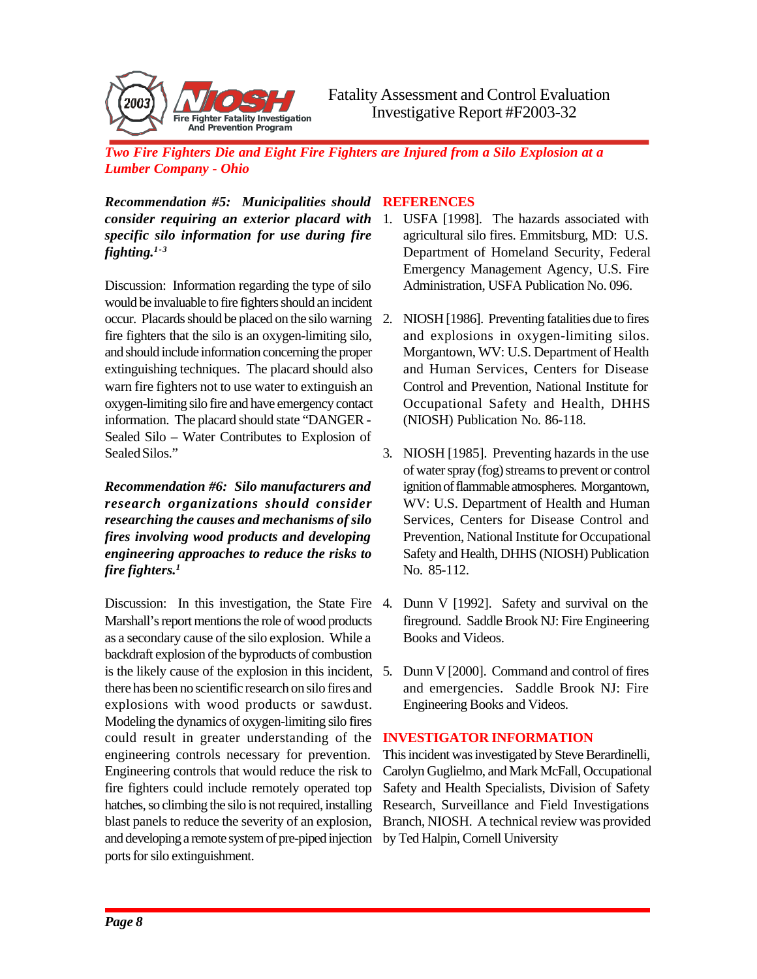

*Recommendation #5: Municipalities should consider requiring an exterior placard with specific silo information for use during fire fighting.1-3*

Discussion: Information regarding the type of silo would be invaluable to fire fighters should an incident occur. Placards should be placed on the silo warning fire fighters that the silo is an oxygen-limiting silo, and should include information concerning the proper extinguishing techniques. The placard should also warn fire fighters not to use water to extinguish an oxygen-limiting silo fire and have emergency contact information. The placard should state "DANGER - Sealed Silo – Water Contributes to Explosion of Sealed Silos."

*Recommendation #6: Silo manufacturers and research organizations should consider researching the causes and mechanisms of silo fires involving wood products and developing engineering approaches to reduce the risks to fire fighters.<sup>1</sup>*

Discussion: In this investigation, the State Fire 4. Marshall's report mentions the role of wood products as a secondary cause of the silo explosion. While a backdraft explosion of the byproducts of combustion is the likely cause of the explosion in this incident, 5. Dunn V [2000]. Command and control of fires there has been no scientific research on silo fires and explosions with wood products or sawdust. Modeling the dynamics of oxygen-limiting silo fires could result in greater understanding of the engineering controls necessary for prevention. Engineering controls that would reduce the risk to fire fighters could include remotely operated top hatches, so climbing the silo is not required, installing blast panels to reduce the severity of an explosion, and developing a remote system of pre-piped injection ports for silo extinguishment.

# **REFERENCES**

- 1. USFA [1998]. The hazards associated with agricultural silo fires. Emmitsburg, MD: U.S. Department of Homeland Security, Federal Emergency Management Agency, U.S. Fire Administration, USFA Publication No. 096.
- NIOSH [1986]. Preventing fatalities due to fires and explosions in oxygen-limiting silos. Morgantown, WV: U.S. Department of Health and Human Services, Centers for Disease Control and Prevention, National Institute for Occupational Safety and Health, DHHS (NIOSH) Publication No. 86-118.
- 3. NIOSH [1985]. Preventing hazards in the use of water spray (fog) streams to prevent or control ignition of flammable atmospheres. Morgantown, WV: U.S. Department of Health and Human Services, Centers for Disease Control and Prevention, National Institute for Occupational Safety and Health, DHHS (NIOSH) Publication No. 85-112.
- Dunn V [1992]. Safety and survival on the fireground. Saddle Brook NJ: Fire Engineering Books and Videos.
- and emergencies. Saddle Brook NJ: Fire Engineering Books and Videos.

# **INVESTIGATOR INFORMATION**

This incident was investigated by Steve Berardinelli, Carolyn Guglielmo, and Mark McFall, Occupational Safety and Health Specialists, Division of Safety Research, Surveillance and Field Investigations Branch, NIOSH. A technical review was provided by Ted Halpin, Cornell University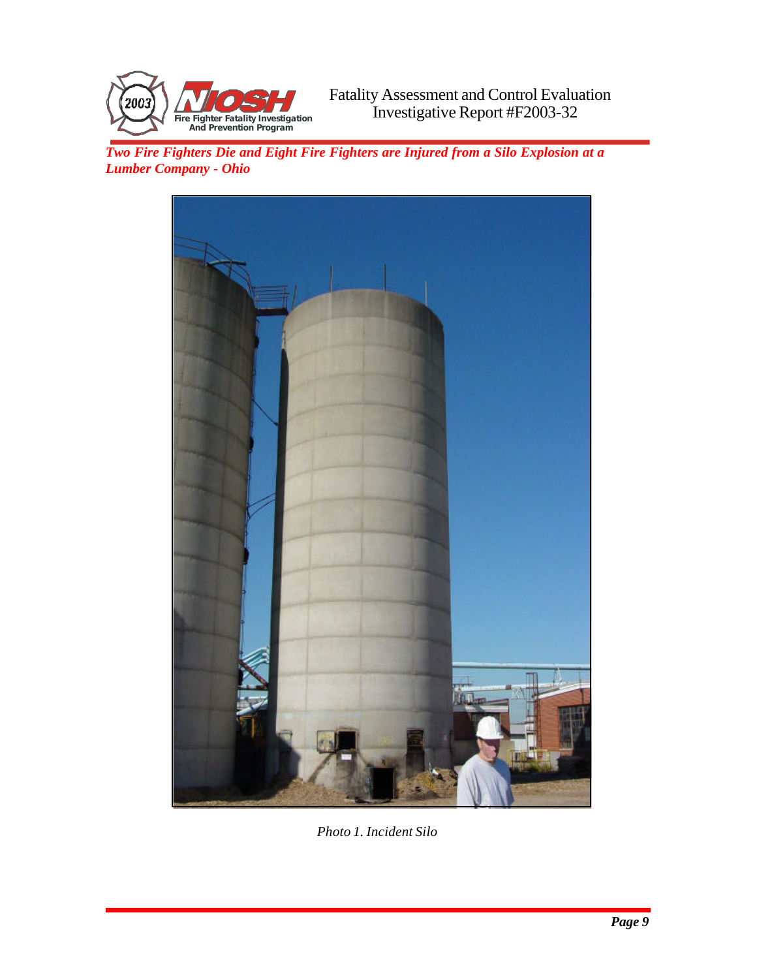



*Photo 1. Incident Silo*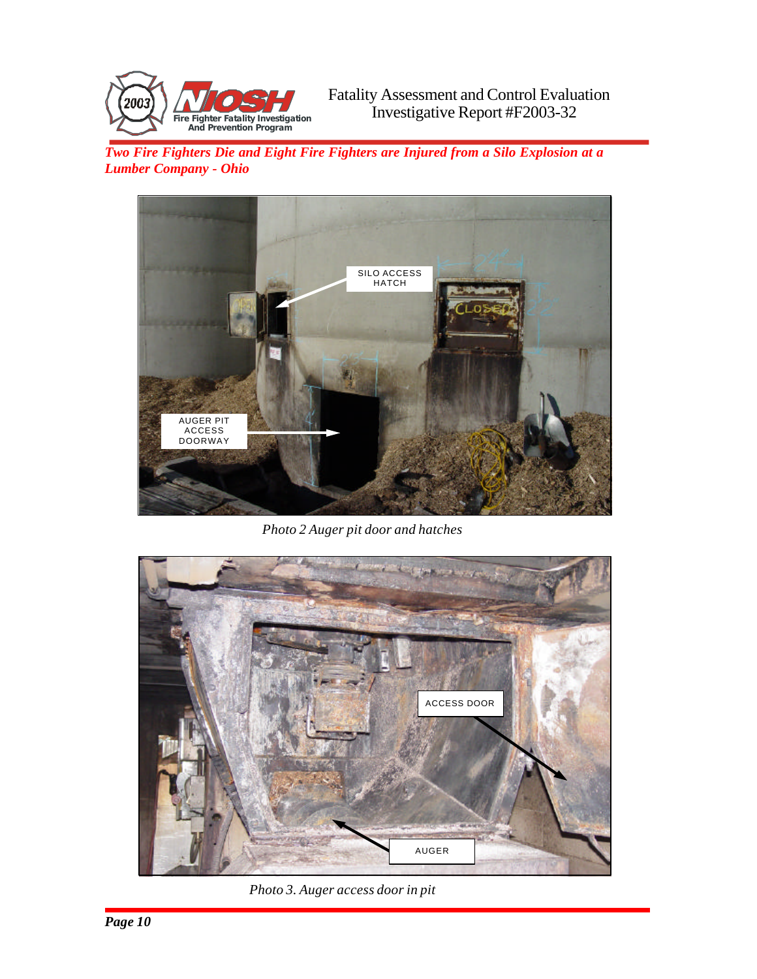



*Photo 2 Auger pit door and hatches*



*Photo 3. Auger access door in pit*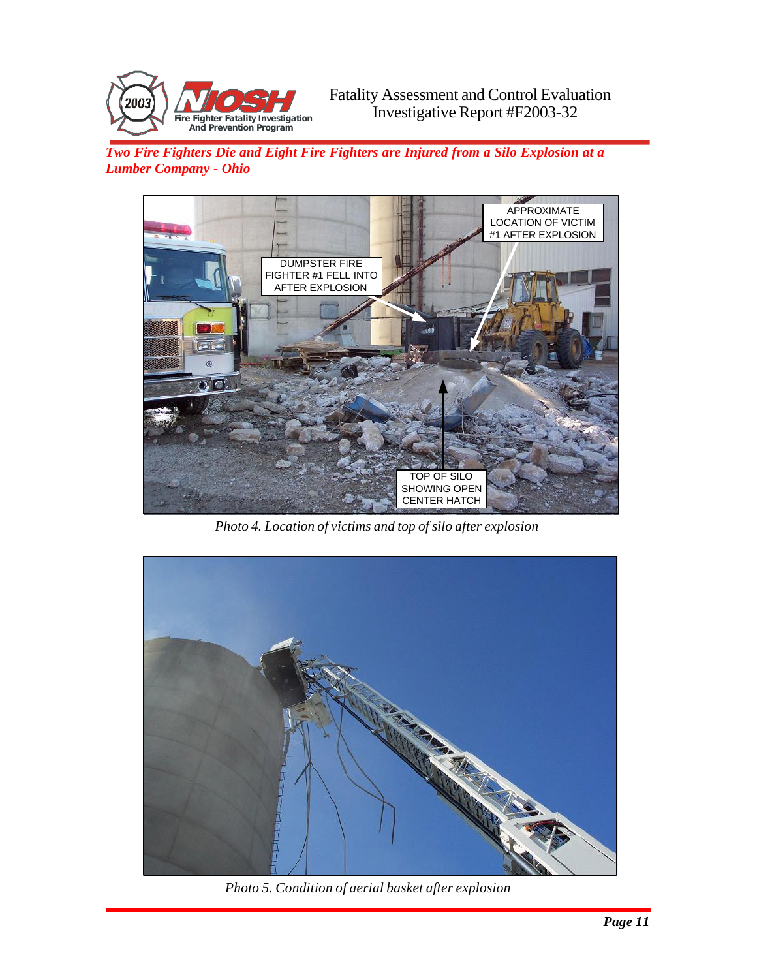



*Photo 4. Location of victims and top of silo after explosion*



*Photo 5. Condition of aerial basket after explosion*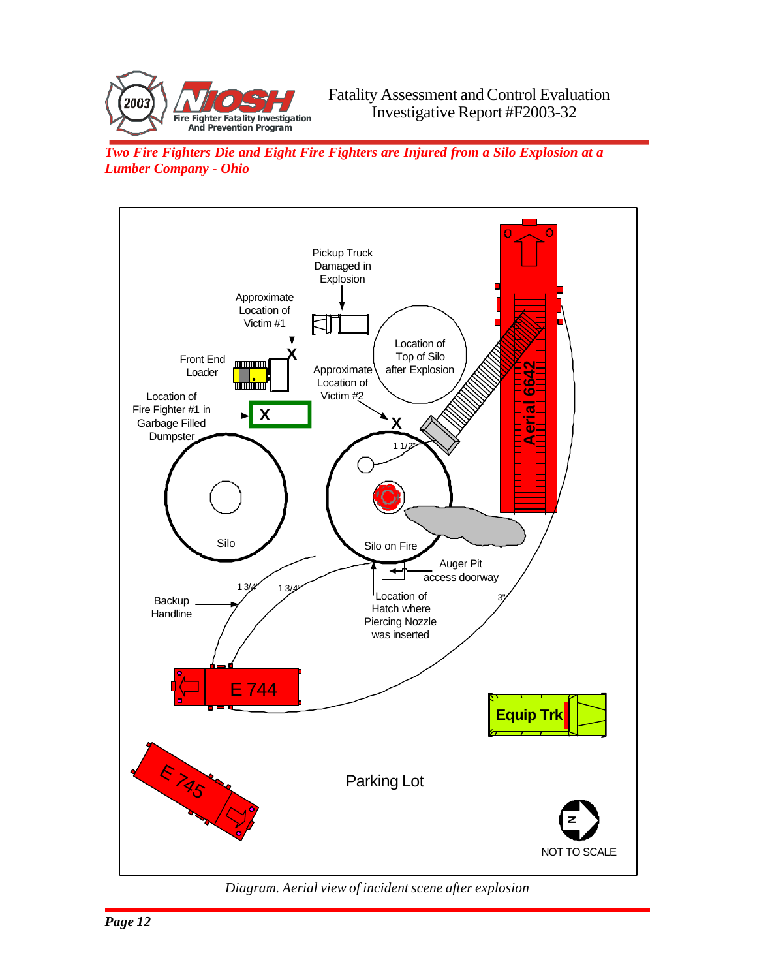